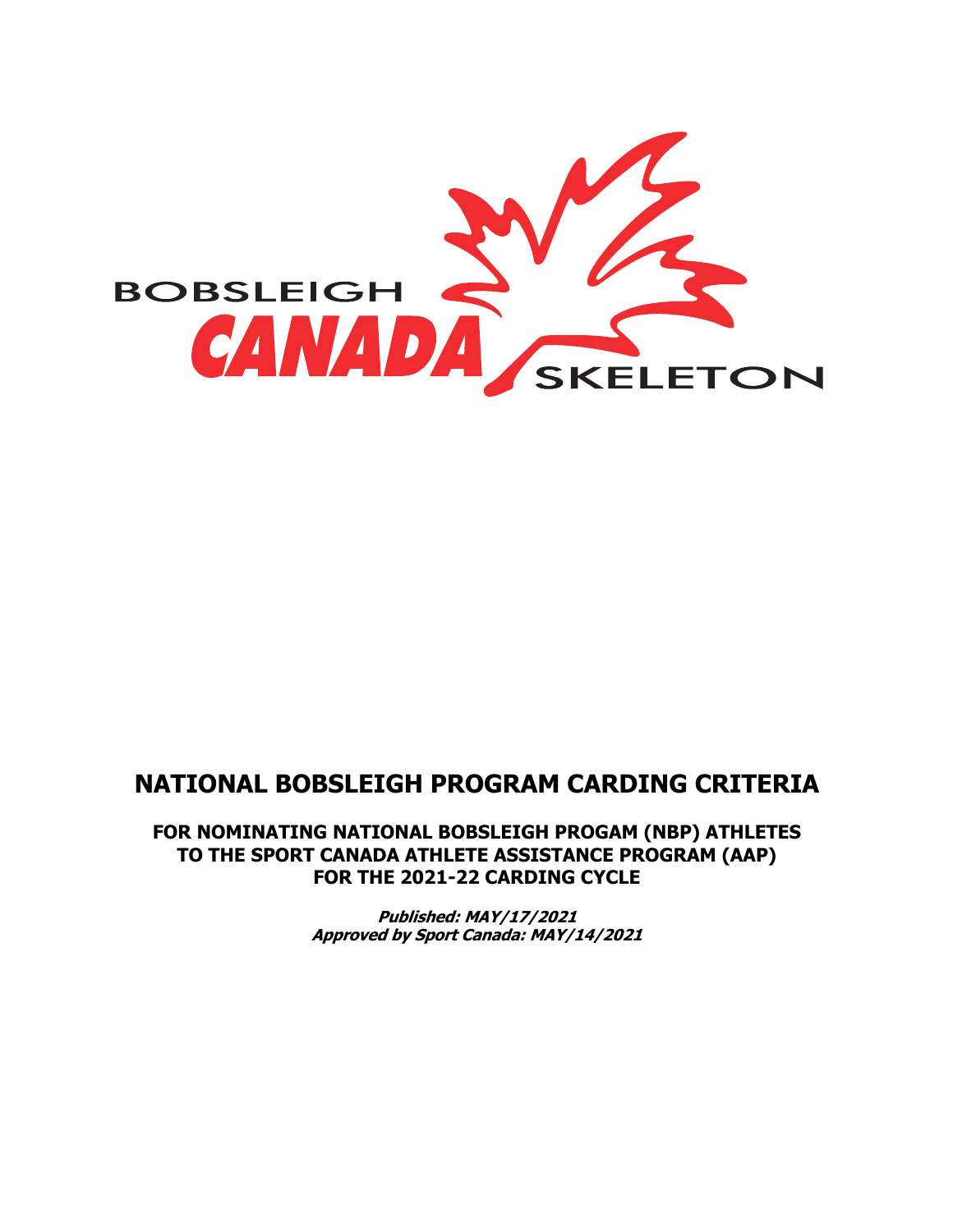

# **NATIONAL BOBSLEIGH PROGRAM CARDING CRITERIA**

**FOR NOMINATING NATIONAL BOBSLEIGH PROGAM (NBP) ATHLETES TO THE SPORT CANADA ATHLETE ASSISTANCE PROGRAM (AAP) FOR THE 2021-22 CARDING CYCLE**

> **Published: MAY/17/2021 Approved by Sport Canada: MAY/14/2021**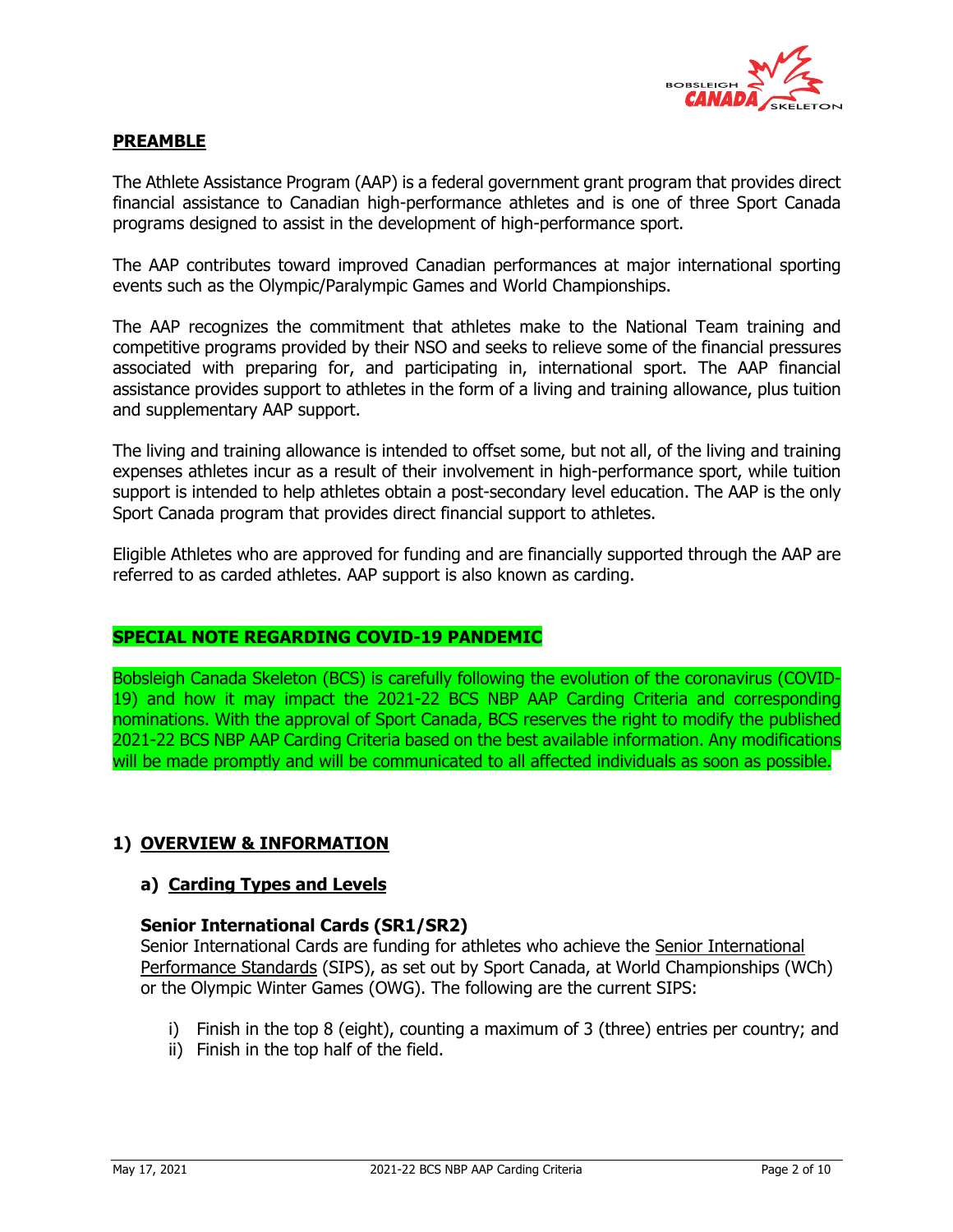

## **PREAMBLE**

The Athlete Assistance Program (AAP) is a federal government grant program that provides direct financial assistance to Canadian high-performance athletes and is one of three Sport Canada programs designed to assist in the development of high-performance sport.

The AAP contributes toward improved Canadian performances at major international sporting events such as the Olympic/Paralympic Games and World Championships.

The AAP recognizes the commitment that athletes make to the National Team training and competitive programs provided by their NSO and seeks to relieve some of the financial pressures associated with preparing for, and participating in, international sport. The AAP financial assistance provides support to athletes in the form of a living and training allowance, plus tuition and supplementary AAP support.

The living and training allowance is intended to offset some, but not all, of the living and training expenses athletes incur as a result of their involvement in high-performance sport, while tuition support is intended to help athletes obtain a post-secondary level education. The AAP is the only Sport Canada program that provides direct financial support to athletes.

Eligible Athletes who are approved for funding and are financially supported through the AAP are referred to as carded athletes. AAP support is also known as carding.

#### **SPECIAL NOTE REGARDING COVID-19 PANDEMIC**

Bobsleigh Canada Skeleton (BCS) is carefully following the evolution of the coronavirus (COVID-19) and how it may impact the 2021-22 BCS NBP AAP Carding Criteria and corresponding nominations. With the approval of Sport Canada, BCS reserves the right to modify the published 2021-22 BCS NBP AAP Carding Criteria based on the best available information. Any modifications will be made promptly and will be communicated to all affected individuals as soon as possible.

#### **1) OVERVIEW & INFORMATION**

#### **a) Carding Types and Levels**

#### **Senior International Cards (SR1/SR2)**

Senior International Cards are funding for athletes who achieve the Senior International Performance Standards (SIPS), as set out by Sport Canada, at World Championships (WCh) or the Olympic Winter Games (OWG). The following are the current SIPS:

- i) Finish in the top 8 (eight), counting a maximum of 3 (three) entries per country; and
- ii) Finish in the top half of the field.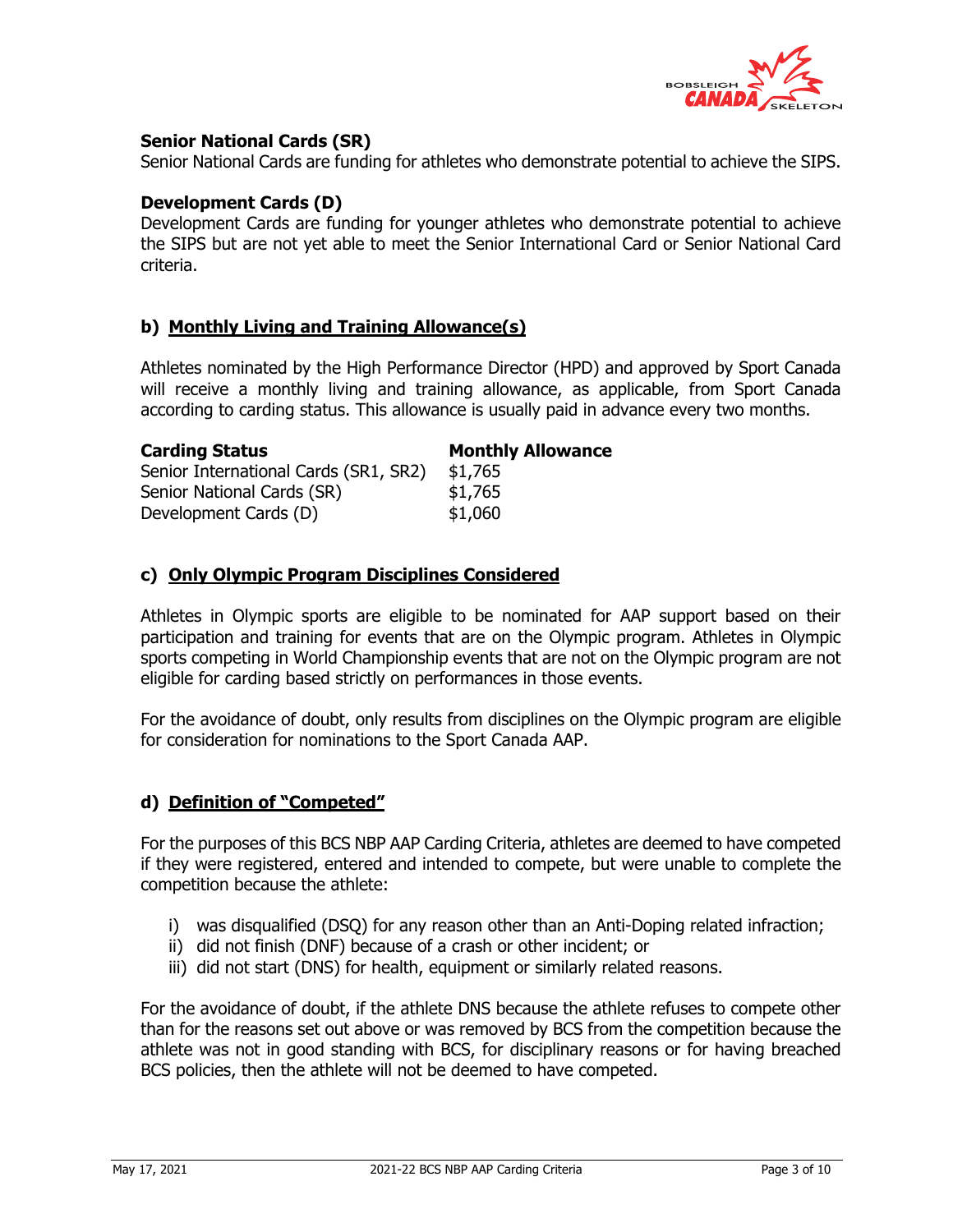

## **Senior National Cards (SR)**

Senior National Cards are funding for athletes who demonstrate potential to achieve the SIPS.

#### **Development Cards (D)**

Development Cards are funding for younger athletes who demonstrate potential to achieve the SIPS but are not yet able to meet the Senior International Card or Senior National Card criteria.

#### **b) Monthly Living and Training Allowance(s)**

Athletes nominated by the High Performance Director (HPD) and approved by Sport Canada will receive a monthly living and training allowance, as applicable, from Sport Canada according to carding status. This allowance is usually paid in advance every two months.

| <b>Carding Status</b>                 | <b>Monthly Allowance</b> |
|---------------------------------------|--------------------------|
| Senior International Cards (SR1, SR2) | \$1,765                  |
| Senior National Cards (SR)            | \$1,765                  |
| Development Cards (D)                 | \$1,060                  |

#### **c) Only Olympic Program Disciplines Considered**

Athletes in Olympic sports are eligible to be nominated for AAP support based on their participation and training for events that are on the Olympic program. Athletes in Olympic sports competing in World Championship events that are not on the Olympic program are not eligible for carding based strictly on performances in those events.

For the avoidance of doubt, only results from disciplines on the Olympic program are eligible for consideration for nominations to the Sport Canada AAP.

#### **d) Definition of "Competed"**

For the purposes of this BCS NBP AAP Carding Criteria, athletes are deemed to have competed if they were registered, entered and intended to compete, but were unable to complete the competition because the athlete:

- i) was disqualified (DSQ) for any reason other than an Anti-Doping related infraction;
- ii) did not finish (DNF) because of a crash or other incident; or
- iii) did not start (DNS) for health, equipment or similarly related reasons.

For the avoidance of doubt, if the athlete DNS because the athlete refuses to compete other than for the reasons set out above or was removed by BCS from the competition because the athlete was not in good standing with BCS, for disciplinary reasons or for having breached BCS policies, then the athlete will not be deemed to have competed.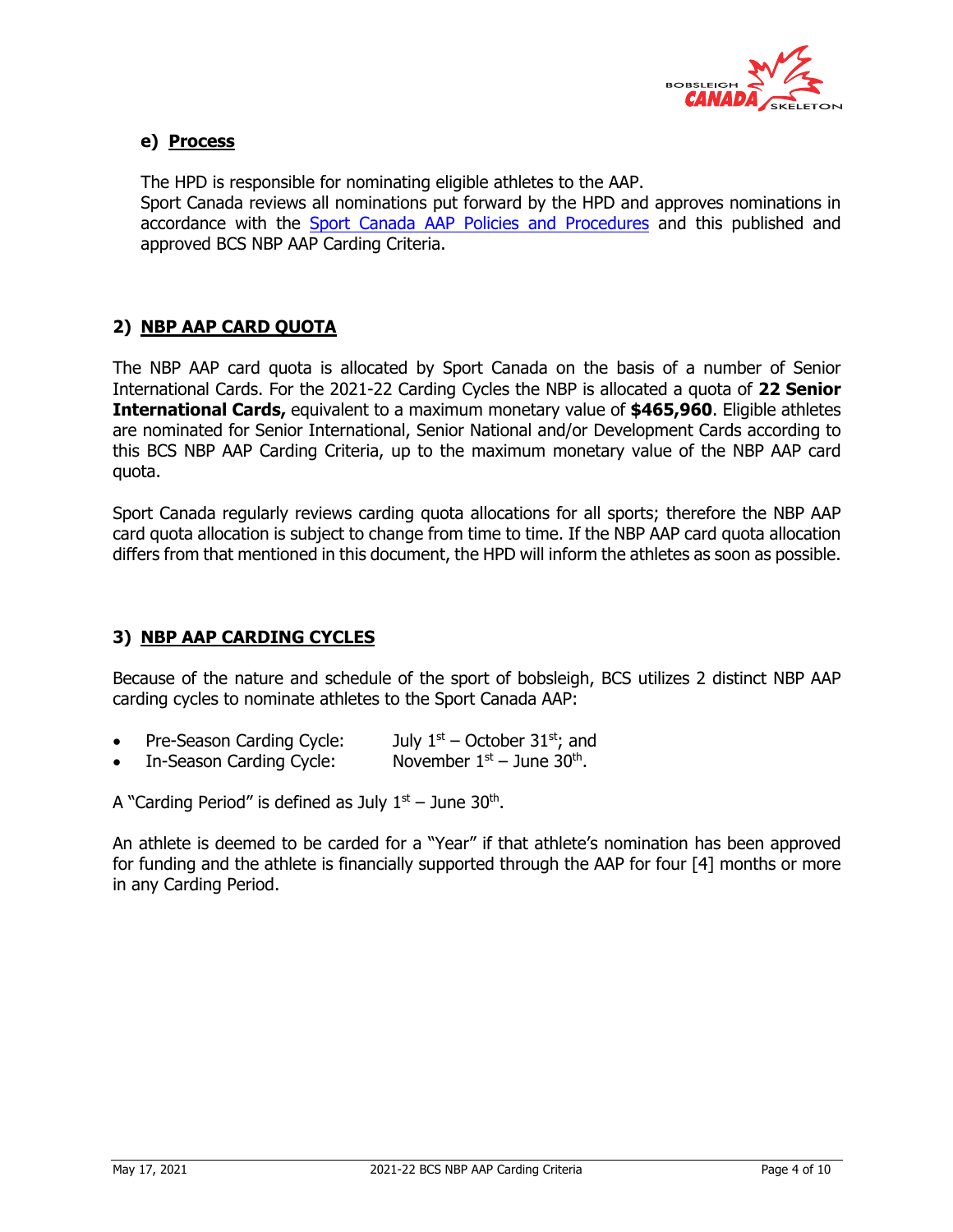

# **e) Process**

The HPD is responsible for nominating eligible athletes to the AAP. Sport Canada reviews all nominations put forward by the HPD and approves nominations in accordance with the Sport Canada AAP Policies and Procedures and this published and approved BCS NBP AAP Carding Criteria.

# **2) NBP AAP CARD QUOTA**

The NBP AAP card quota is allocated by Sport Canada on the basis of a number of Senior International Cards. For the 2021-22 Carding Cycles the NBP is allocated a quota of **22 Senior International Cards,** equivalent to a maximum monetary value of **\$465,960**. Eligible athletes are nominated for Senior International, Senior National and/or Development Cards according to this BCS NBP AAP Carding Criteria, up to the maximum monetary value of the NBP AAP card quota.

Sport Canada regularly reviews carding quota allocations for all sports; therefore the NBP AAP card quota allocation is subject to change from time to time. If the NBP AAP card quota allocation differs from that mentioned in this document, the HPD will inform the athletes as soon as possible.

# **3) NBP AAP CARDING CYCLES**

Because of the nature and schedule of the sport of bobsleigh, BCS utilizes 2 distinct NBP AAP carding cycles to nominate athletes to the Sport Canada AAP:

- Pre-Season Carding Cycle: July  $1<sup>st</sup>$  October 31 $<sup>st</sup>$ ; and</sup>
- In-Season Carding Cycle: November  $1<sup>st</sup>$  June 30<sup>th</sup>.

A "Carding Period" is defined as July  $1<sup>st</sup>$  – June 30<sup>th</sup>.

An athlete is deemed to be carded for a "Year" if that athlete's nomination has been approved for funding and the athlete is financially supported through the AAP for four [4] months or more in any Carding Period.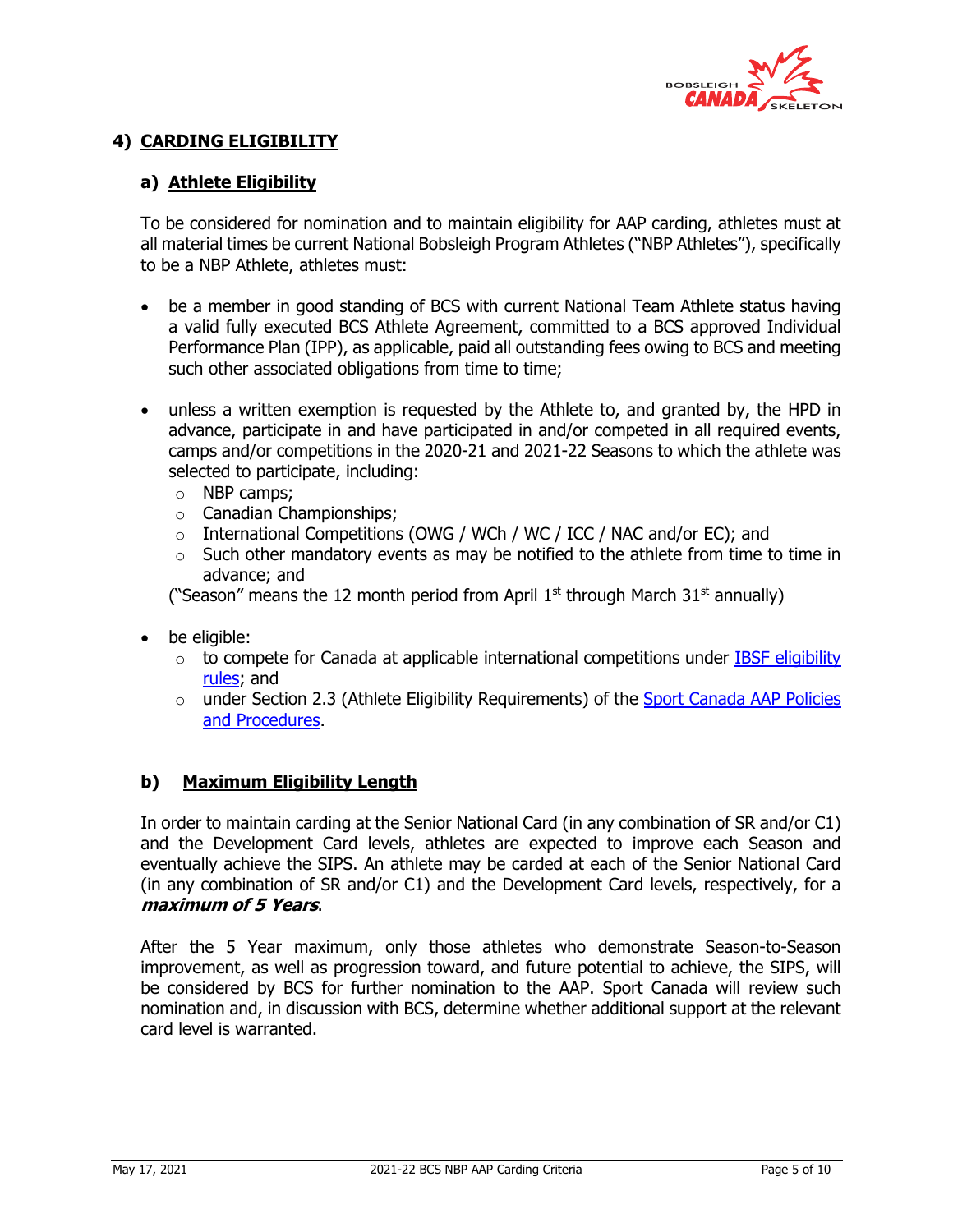

# **4) CARDING ELIGIBILITY**

## **a) Athlete Eligibility**

To be considered for nomination and to maintain eligibility for AAP carding, athletes must at all material times be current National Bobsleigh Program Athletes ("NBP Athletes"), specifically to be a NBP Athlete, athletes must:

- be a member in good standing of BCS with current National Team Athlete status having a valid fully executed BCS Athlete Agreement, committed to a BCS approved Individual Performance Plan (IPP), as applicable, paid all outstanding fees owing to BCS and meeting such other associated obligations from time to time;
- unless a written exemption is requested by the Athlete to, and granted by, the HPD in advance, participate in and have participated in and/or competed in all required events, camps and/or competitions in the 2020-21 and 2021-22 Seasons to which the athlete was selected to participate, including:
	- o NBP camps;
	- o Canadian Championships;
	- International Competitions (OWG / WCh / WC / ICC / NAC and/or EC); and
	- $\circ$  Such other mandatory events as may be notified to the athlete from time to time in advance; and

("Season" means the 12 month period from April  $1<sup>st</sup>$  through March  $31<sup>st</sup>$  annually)

- be eligible:
	- $\circ$  to compete for Canada at applicable international competitions under IBSF eligibility rules; and
	- $\circ$  under Section 2.3 (Athlete Eligibility Requirements) of the Sport Canada AAP Policies and Procedures.

# **b) Maximum Eligibility Length**

In order to maintain carding at the Senior National Card (in any combination of SR and/or C1) and the Development Card levels, athletes are expected to improve each Season and eventually achieve the SIPS. An athlete may be carded at each of the Senior National Card (in any combination of SR and/or C1) and the Development Card levels, respectively, for a **maximum of 5 Years**.

After the 5 Year maximum, only those athletes who demonstrate Season-to-Season improvement, as well as progression toward, and future potential to achieve, the SIPS, will be considered by BCS for further nomination to the AAP. Sport Canada will review such nomination and, in discussion with BCS, determine whether additional support at the relevant card level is warranted.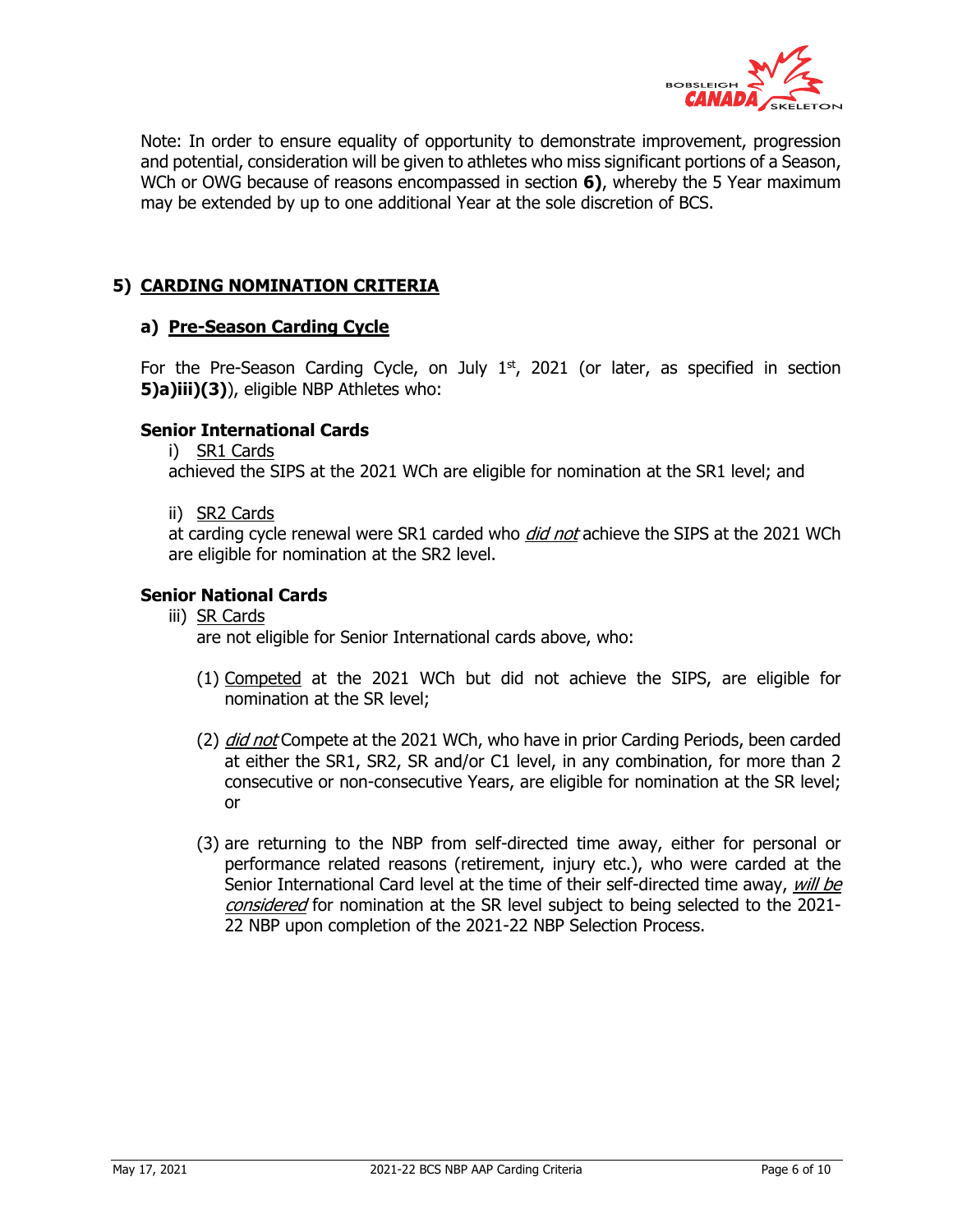

Note: In order to ensure equality of opportunity to demonstrate improvement, progression and potential, consideration will be given to athletes who miss significant portions of a Season, WCh or OWG because of reasons encompassed in section **6)**, whereby the 5 Year maximum may be extended by up to one additional Year at the sole discretion of BCS.

## **5) CARDING NOMINATION CRITERIA**

#### **a) Pre-Season Carding Cycle**

For the Pre-Season Carding Cycle, on July  $1<sup>st</sup>$ , 2021 (or later, as specified in section **5)a)iii)(3)**), eligible NBP Athletes who:

#### **Senior International Cards**

i) SR1 Cards

achieved the SIPS at the 2021 WCh are eligible for nomination at the SR1 level; and

ii) SR2 Cards

at carding cycle renewal were SR1 carded who *did not* achieve the SIPS at the 2021 WCh are eligible for nomination at the SR2 level.

#### **Senior National Cards**

- iii) SR Cards are not eligible for Senior International cards above, who:
	- (1) Competed at the 2021 WCh but did not achieve the SIPS, are eligible for nomination at the SR level;
	- (2) *did not* Compete at the 2021 WCh, who have in prior Carding Periods, been carded at either the SR1, SR2, SR and/or C1 level, in any combination, for more than 2 consecutive or non-consecutive Years, are eligible for nomination at the SR level; or
	- (3) are returning to the NBP from self-directed time away, either for personal or performance related reasons (retirement, injury etc.), who were carded at the Senior International Card level at the time of their self-directed time away, will be considered</u> for nomination at the SR level subject to being selected to the 2021-22 NBP upon completion of the 2021-22 NBP Selection Process.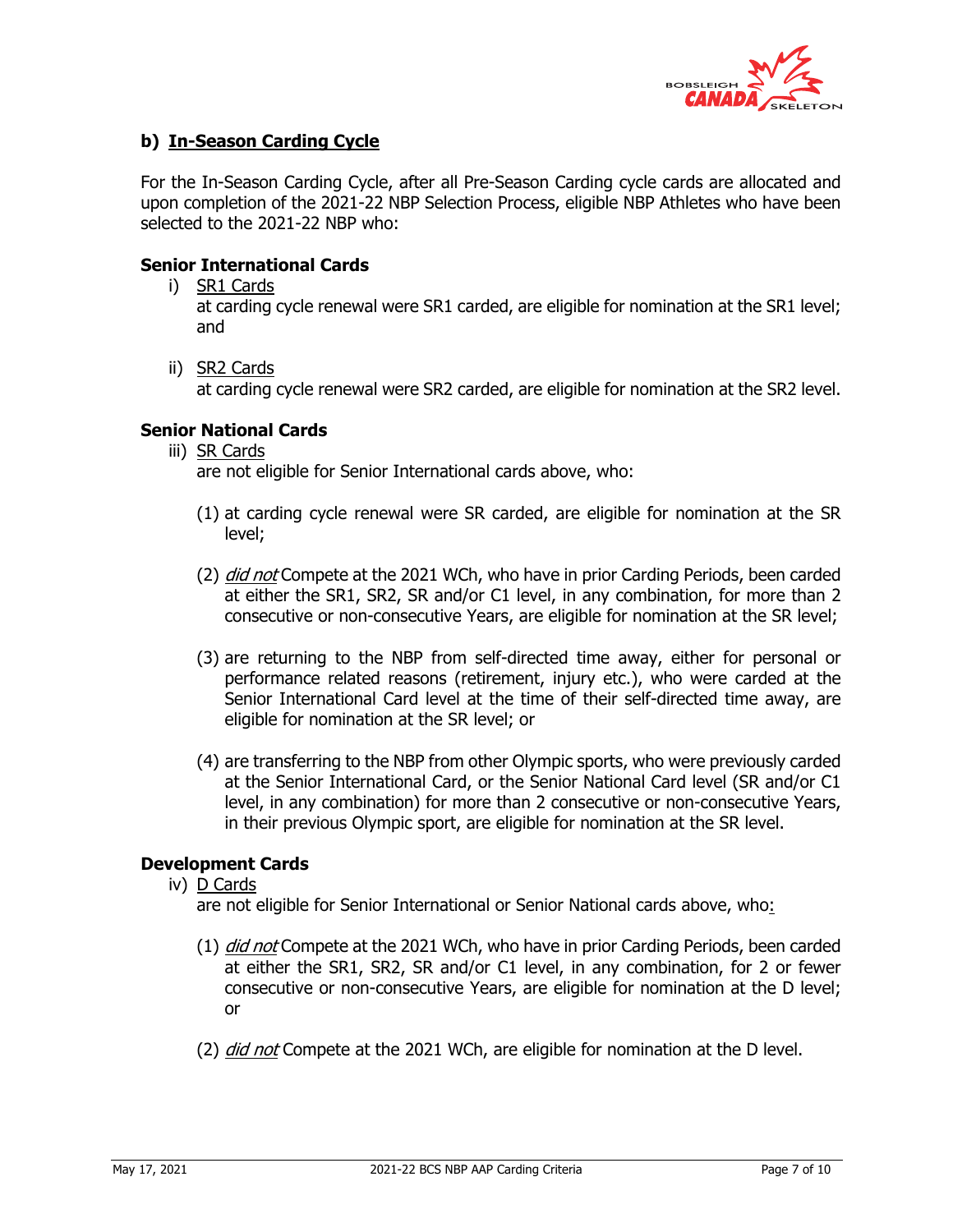

## **b) In-Season Carding Cycle**

For the In-Season Carding Cycle, after all Pre-Season Carding cycle cards are allocated and upon completion of the 2021-22 NBP Selection Process, eligible NBP Athletes who have been selected to the 2021-22 NBP who:

#### **Senior International Cards**

i) SR1 Cards

at carding cycle renewal were SR1 carded, are eligible for nomination at the SR1 level; and

ii) SR2 Cards

at carding cycle renewal were SR2 carded, are eligible for nomination at the SR2 level.

#### **Senior National Cards**

iii) SR Cards

are not eligible for Senior International cards above, who:

- (1) at carding cycle renewal were SR carded, are eligible for nomination at the SR level;
- (2) *did not* Compete at the 2021 WCh, who have in prior Carding Periods, been carded at either the SR1, SR2, SR and/or C1 level, in any combination, for more than 2 consecutive or non-consecutive Years, are eligible for nomination at the SR level;
- (3) are returning to the NBP from self-directed time away, either for personal or performance related reasons (retirement, injury etc.), who were carded at the Senior International Card level at the time of their self-directed time away, are eligible for nomination at the SR level; or
- (4) are transferring to the NBP from other Olympic sports, who were previously carded at the Senior International Card, or the Senior National Card level (SR and/or C1 level, in any combination) for more than 2 consecutive or non-consecutive Years, in their previous Olympic sport, are eligible for nomination at the SR level.

#### **Development Cards**

iv) D Cards

are not eligible for Senior International or Senior National cards above, who:

- (1) *did not* Compete at the 2021 WCh, who have in prior Carding Periods, been carded at either the SR1, SR2, SR and/or C1 level, in any combination, for 2 or fewer consecutive or non-consecutive Years, are eligible for nomination at the D level; or
- (2) *did not* Compete at the 2021 WCh, are eligible for nomination at the D level.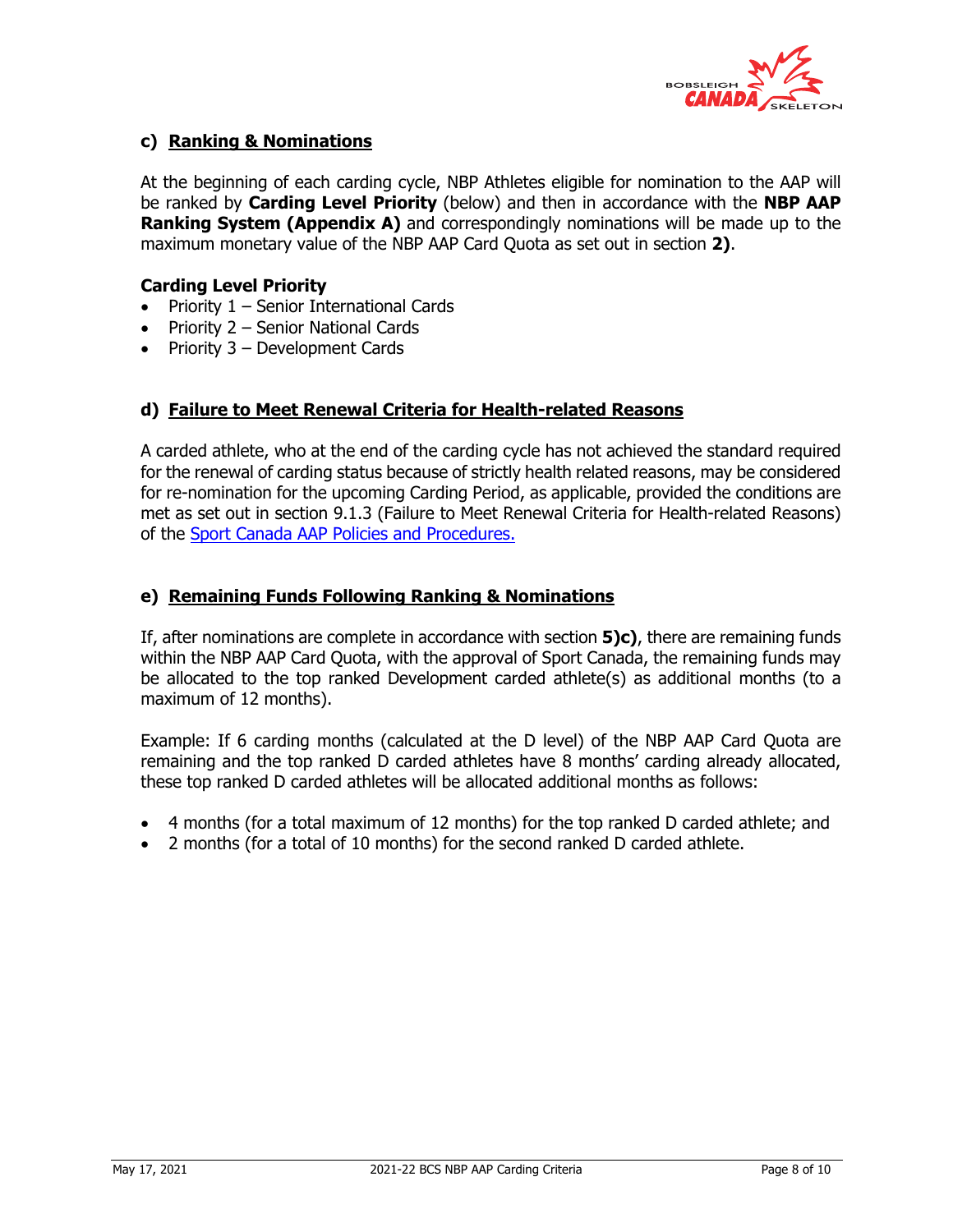

# **c) Ranking & Nominations**

At the beginning of each carding cycle, NBP Athletes eligible for nomination to the AAP will be ranked by **Carding Level Priority** (below) and then in accordance with the **NBP AAP Ranking System (Appendix A)** and correspondingly nominations will be made up to the maximum monetary value of the NBP AAP Card Quota as set out in section **2)**.

#### **Carding Level Priority**

- Priority  $1$  Senior International Cards
- Priority 2 Senior National Cards
- Priority 3 Development Cards

## **d) Failure to Meet Renewal Criteria for Health-related Reasons**

A carded athlete, who at the end of the carding cycle has not achieved the standard required for the renewal of carding status because of strictly health related reasons, may be considered for re-nomination for the upcoming Carding Period, as applicable, provided the conditions are met as set out in section 9.1.3 (Failure to Meet Renewal Criteria for Health-related Reasons) of the Sport Canada AAP Policies and Procedures.

## **e) Remaining Funds Following Ranking & Nominations**

If, after nominations are complete in accordance with section **5)c)**, there are remaining funds within the NBP AAP Card Quota, with the approval of Sport Canada, the remaining funds may be allocated to the top ranked Development carded athlete(s) as additional months (to a maximum of 12 months).

Example: If 6 carding months (calculated at the D level) of the NBP AAP Card Quota are remaining and the top ranked D carded athletes have 8 months' carding already allocated, these top ranked D carded athletes will be allocated additional months as follows:

- 4 months (for a total maximum of 12 months) for the top ranked D carded athlete; and
- 2 months (for a total of 10 months) for the second ranked D carded athlete.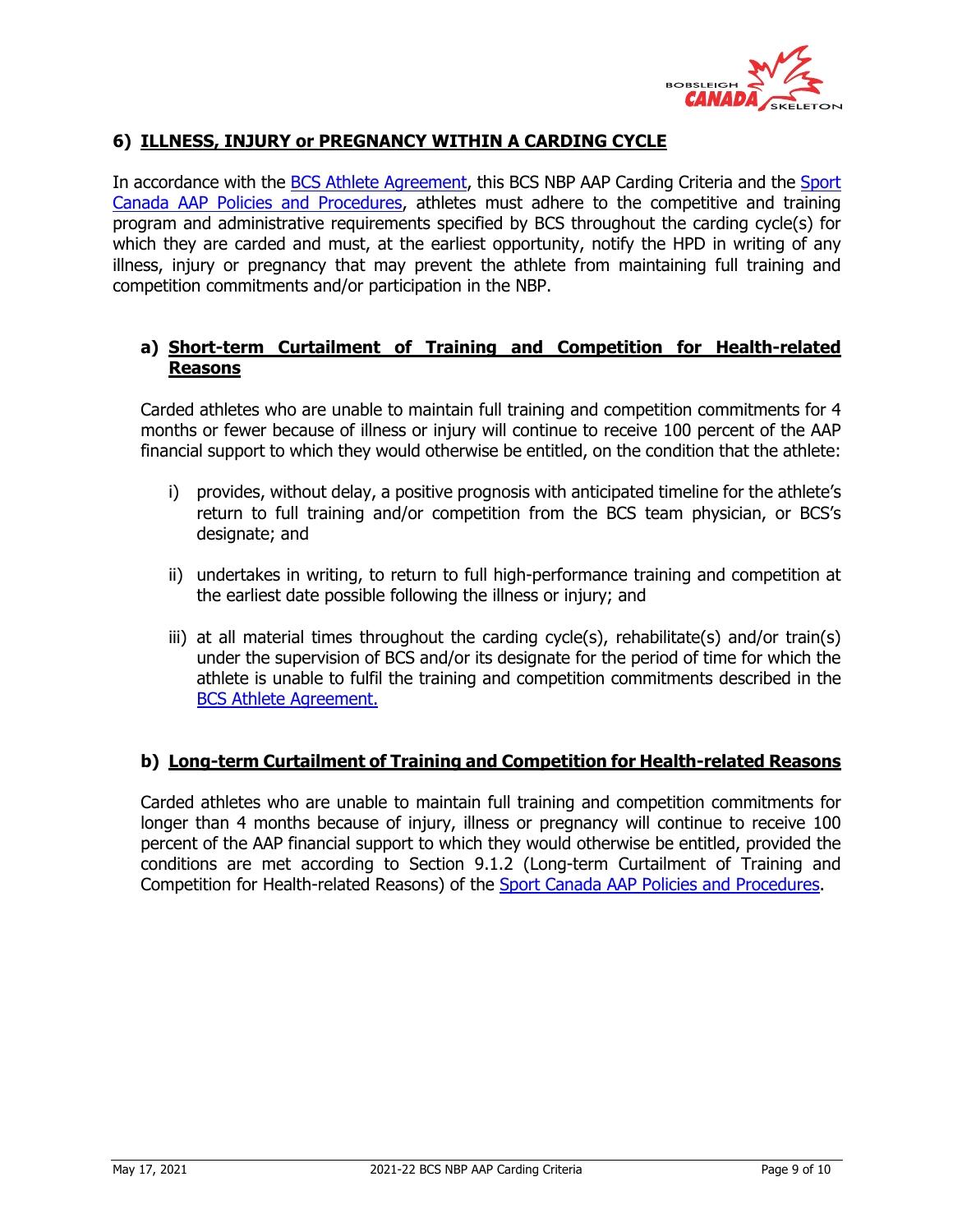

# **6) ILLNESS, INJURY or PREGNANCY WITHIN A CARDING CYCLE**

In accordance with the BCS Athlete Agreement, this BCS NBP AAP Carding Criteria and the Sport Canada AAP Policies and Procedures, athletes must adhere to the competitive and training program and administrative requirements specified by BCS throughout the carding cycle(s) for which they are carded and must, at the earliest opportunity, notify the HPD in writing of any illness, injury or pregnancy that may prevent the athlete from maintaining full training and competition commitments and/or participation in the NBP.

## **a) Short-term Curtailment of Training and Competition for Health-related Reasons**

Carded athletes who are unable to maintain full training and competition commitments for 4 months or fewer because of illness or injury will continue to receive 100 percent of the AAP financial support to which they would otherwise be entitled, on the condition that the athlete:

- i) provides, without delay, a positive prognosis with anticipated timeline for the athlete's return to full training and/or competition from the BCS team physician, or BCS's designate; and
- ii) undertakes in writing, to return to full high-performance training and competition at the earliest date possible following the illness or injury; and
- iii) at all material times throughout the carding cycle(s), rehabilitate(s) and/or train(s) under the supervision of BCS and/or its designate for the period of time for which the athlete is unable to fulfil the training and competition commitments described in the BCS Athlete Agreement.

#### **b) Long-term Curtailment of Training and Competition for Health-related Reasons**

Carded athletes who are unable to maintain full training and competition commitments for longer than 4 months because of injury, illness or pregnancy will continue to receive 100 percent of the AAP financial support to which they would otherwise be entitled, provided the conditions are met according to Section 9.1.2 (Long-term Curtailment of Training and Competition for Health-related Reasons) of the Sport Canada AAP Policies and Procedures.